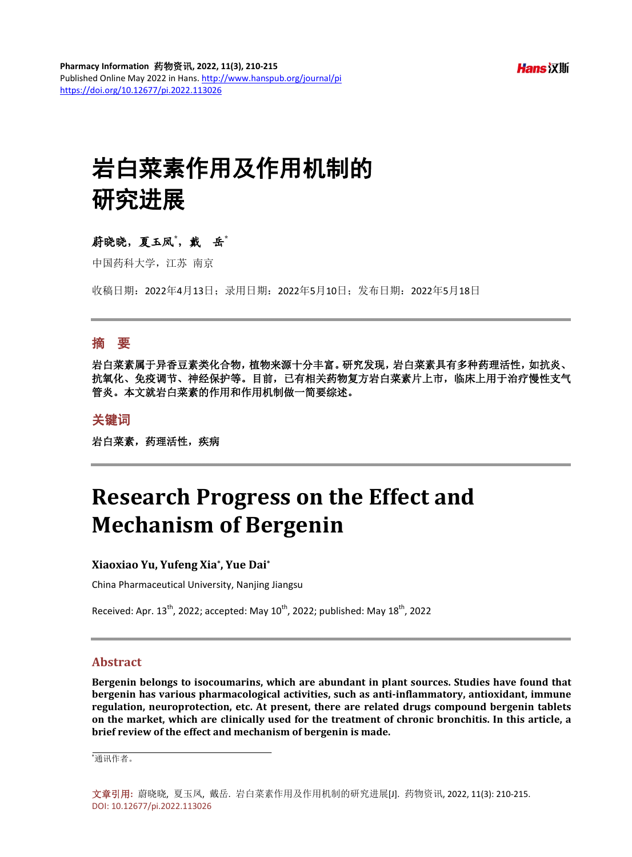# 岩白菜素作用及作用机制的 研究进展

## 蔚晓晓,夏玉凤**\*** ,戴岳**\***

中国药科大学, 汀苏 南京

收稿日期:2022年4月13日;录用日期:2022年5月10日;发布日期:2022年5月18日

## 摘 要

岩白菜素属于异香豆素类化合物,植物来源十分丰富。研究发现,岩白菜素具有多种药理活性,如抗炎、 抗氧化、免疫调节、神经保护等。目前,已有相关药物复方岩白菜素片上市,临床上用于治疗慢性支气 管炎。本文就岩白菜素的作用和作用机制做一简要综述。

### 关键词

岩白菜素,药理活性,疾病

## **Research Progress on the Effect and Mechanism of Bergenin**

**Xiaoxiao Yu, Yufeng Xia\*, Yue Dai\***

China Pharmaceutical University, Nanjing Jiangsu

Received: Apr.  $13^{th}$ , 2022; accepted: May  $10^{th}$ , 2022; published: May  $18^{th}$ , 2022

#### **Abstract**

**Bergenin belongs to isocoumarins, which are abundant in plant sources. Studies have found that bergenin has various pharmacological activities, such as anti-inflammatory, antioxidant, immune regulation, neuroprotection, etc. At present, there are related drugs compound bergenin tablets on the market, which are clinically used for the treatment of chronic bronchitis. In this article, a brief review of the effect and mechanism of bergenin is made.**

\* 通讯作者。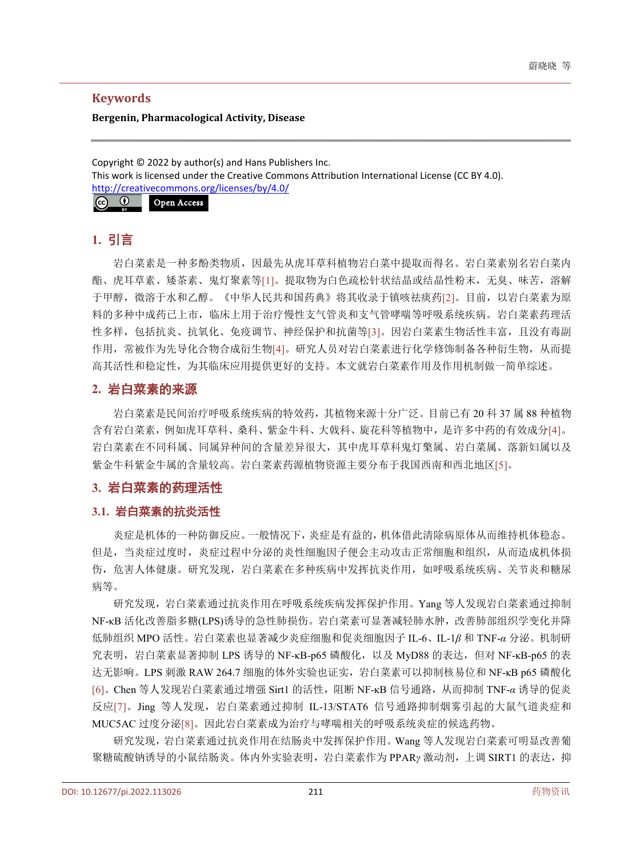## **Keywords**

#### **Bergenin, Pharmacological Activity, Disease**

Copyright © 2022 by author(s) and Hans Publishers Inc. This work is licensed under the Creative Commons Attribution International License (CC BY 4.0). <http://creativecommons.org/licenses/by/4.0/>



## **1.** 引言

岩白菜素是一种多酚类物质,因最先从虎耳草科植物岩白菜中提取而得名。岩白菜素别名岩白菜内 酯、虎耳草素、矮茶素、鬼灯聚素等[\[1\]](#page-4-0)。提取物为白色疏松针状结晶或结晶性粉末,无臭、味苦,溶解 于甲醇,微溶于水和乙醇。《中华人民共和国药典》将其收录于镇咳祛痰药[\[2\]](#page-4-1)。目前,以岩白菜素为原 料的多种中成药已上市,临床上用于治疗慢性支气管炎和支气管哮喘等呼吸系统疾病。岩白菜素药理活 性多样,包括抗炎、抗氧化、免疫调节、神经保护和抗菌等[\[3\]](#page-4-2)。因岩白菜素生物活性丰富,且没有毒副 作用,常被作为先导化合物合成衍生物[\[4\]](#page-4-3)。研究人员对岩白菜素进行化学修饰制备各种衍生物,从而提 高其活性和稳定性,为其临床应用提供更好的支持。本文就岩白菜素作用及作用机制做一简单综述。

## **2.** 岩白菜素的来源

岩白菜素是民间治疗呼吸系统疾病的特效药,其植物来源十分广泛。目前已有 20 科 37 属 88 种植物 含有岩白菜素,例如虎耳草科、桑科、紫金牛科、大戟科、旋花科等植物中,是许多中药的有效成分[\[4\]](#page-4-3)。 岩白菜素在不同科属、同属异种间的含量差异很大,其中虎耳草科鬼灯檠属、岩白菜属、落新妇属以及 紫金牛科紫金牛属的含量较高。岩白菜素药源植物资源主要分布于我国西南和西北地区[\[5\]](#page-4-4)。

## **3.** 岩白菜素的药理活性

## **3.1.** 岩白菜素的抗炎活性

炎症是机体的一种防御反应。一般情况下,炎症是有益的,机体借此清除病原体从而维持机体稳态。 但是,当炎症过度时,炎症过程中分泌的炎性细胞因子便会主动攻击正常细胞和组织,从而造成机体损 伤,危害人体健康。研究发现,岩白菜素在多种疾病中发挥抗炎作用,如呼吸系统疾病、关节炎和糖尿 病等。

研究发现,岩白菜素通过抗炎作用在呼吸系统疾病发挥保护作用。Yang 等人发现岩白菜素通过抑制 NF-kB 活化改善脂多糖(LPS)诱导的急性肺损伤。岩白菜素可显著减轻肺水肿,改善肺部组织学变化并降 低肺组织 MPO 活性。岩白菜素也显著减少炎症细胞和促炎细胞因子 IL-6、IL-1*β* 和 TNF-*α* 分泌。机制研 究表明,岩白菜素显著抑制 LPS 诱导的 NF-KB-p65 磷酸化, 以及 MyD88 的表达, 但对 NF-KB-p65 的表 达无影响。LPS 刺激 RAW 264.7 细胞的体外实验也证实,岩白菜素可以抑制核易位和 NF-κB p65 磷酸化 [\[6\]](#page-4-5)。Chen 等人发现岩白菜素通过增强 Sirt1 的活性,阻断 NF-κB 信号通路,从而抑制 TNF-*α* 诱导的促炎 反应[\[7\]](#page-4-6)。Jing 等人发现,岩白菜素通过抑制 IL-13/STAT6 信号通路抑制烟雾引起的大鼠气道炎症和 MUC5AC 过度分泌[\[8\]](#page-4-7)。因此岩白菜素成为治疗与哮喘相关的呼吸系统炎症的候选药物。

研究发现,岩白菜素通过抗炎作用在结肠炎中发挥保护作用。Wang 等人发现岩白菜素可明显改善葡 聚糖硫酸钠诱导的小鼠结肠炎。体内外实验表明,岩白菜素作为 PPAR<sub></sub>*y* 激动剂,上调 SIRT1 的表达,抑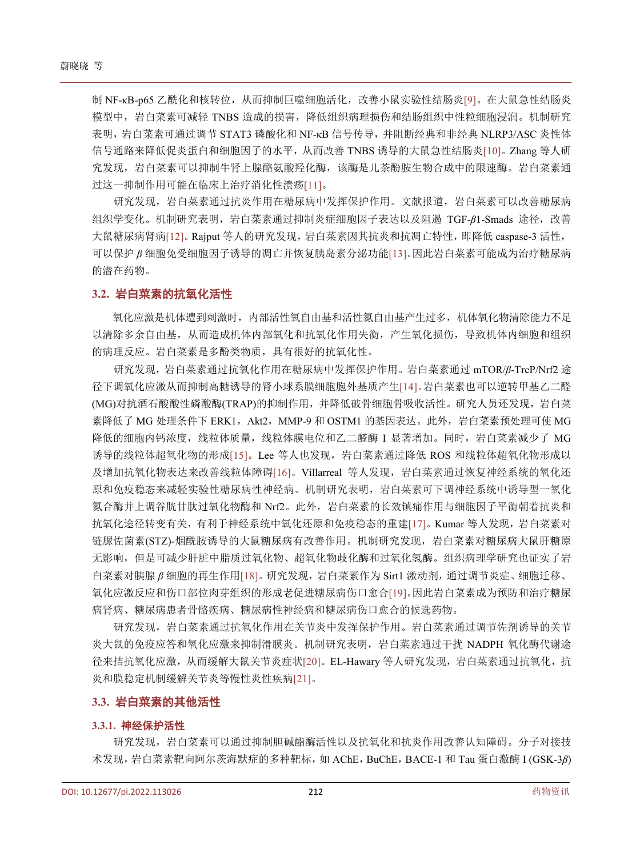制 NF-kB-p65 乙酰化和核转位,从而抑制巨噬细胞活化,改善小鼠实验性结肠炎[\[9\]](#page-4-8)。在大鼠急性结肠炎 模型中,岩白菜素可减轻 TNBS 造成的损害,降低组织病理损伤和结肠组织中性粒细胞浸润。机制研究 表明,岩白菜素可通过调节 STAT3 磷酸化和 NF-κB 信号传导,并阻断经典和非经典 NLRP3/ASC 炎性体 信号通路来降低促炎蛋白和细胞因子的水平,从而改善 TNBS 诱导的大鼠急性结肠炎[\[10\]](#page-4-9)。Zhang 等人研 究发现,岩白菜素可以抑制牛肾上腺酪氨酸羟化酶,该酶是儿茶酚胺生物合成中的限速酶。岩白菜素通 过这一抑制作用可能在临床上治疗消化性溃疡[\[11\]](#page-4-10)。

研究发现,岩白菜素通过抗炎作用在糖尿病中发挥保护作用。文献报道,岩白菜素可以改善糖尿病 组织学变化。机制研究表明,岩白菜素通过抑制炎症细胞因子表达以及阻遏 TGF-*β*1-Smads 途径,改善 大鼠糖尿病肾病[\[12\]](#page-4-11)。Rajput 等人的研究发现,岩白菜素因其抗炎和抗凋亡特性,即降低 caspase-3 活性, 可以保护 *β* 细胞免受细胞因子诱导的凋亡并恢复胰岛素分泌功能[\[13\]](#page-4-12)。因此岩白菜素可能成为治疗糖尿病 的潜在药物。

#### **3.2.** 岩白菜素的抗氧化活性

氧化应激是机体遭到刺激时,内部活性氧自由基和活性氮自由基产生过多,机体氧化物清除能力不足 以清除多余自由基,从而造成机体内部氧化和抗氧化作用失衡,产生氧化损伤,导致机体内细胞和组织 的病理反应。岩白菜素是多酚类物质,具有很好的抗氧化性。

研究发现,岩白菜素通过抗氧化作用在糖尿病中发挥保护作用。岩白菜素通过 mTOR/*β*-TrcP/Nrf2 途 径下调氧化应激从而抑制高糖诱导的肾小球系膜细胞胞外基质产生[\[14\]](#page-4-13)。岩白菜素也可以逆转甲基乙二醛 (MG)对抗酒石酸酸性磷酸酶(TRAP)的抑制作用,并降低破骨细胞骨吸收活性。研究人员还发现,岩白菜 素降低了 MG 处理条件下 ERK1, Akt2, MMP-9 和 OSTM1 的基因表达。此外, 岩白菜素预处理可使 MG 降低的细胞内钙浓度,线粒体质量,线粒体膜电位和乙二醛酶 I 显著增加。同时,岩白菜素减少了 MG 诱导的线粒体超氧化物的形成[\[15\]](#page-4-14)。Lee 等人也发现,岩白菜素通过降低 ROS 和线粒体超氧化物形成以 及增加抗氧化物表达来改善线粒体障碍[\[16\]](#page-4-15)。Villarreal 等人发现, 岩白菜素通过恢复神经系统的氧化还 原和免疫稳态来减轻实验性糖尿病性神经病。机制研究表明,岩白菜素可下调神经系统中诱导型一氧化 氮合酶并上调谷胱甘肽过氧化物酶和 Nrf2。此外,岩白菜素的长效镇痛作用与细胞因子平衡朝着抗炎和 抗氧化途径转变有关,有利于神经系统中氧化还原和免疫稳态的重建[\[17\]](#page-4-16)。Kumar 等人发现, 岩白菜素对 链脲佐菌素(STZ)-烟酰胺诱导的大鼠糖尿病有改善作用。机制研究发现,岩白菜素对糖尿病大鼠肝糖原 无影响,但是可减少肝脏中脂质过氧化物、超氧化物歧化酶和过氧化氢酶。组织病理学研究也证实了岩 白菜素对胰腺 *β* 细胞的再生作用[\[18\]](#page-4-17)。研究发现,岩白菜素作为 Sirt1 激动剂,通过调节炎症、细胞迁移、 氧化应激反应和伤口部位肉芽组织的形成老促进糖尿病伤口愈合[\[19\]](#page-4-18)。因此岩白菜素成为预防和治疗糖尿 病肾病、糖尿病患者骨骼疾病、糖尿病性神经病和糖尿病伤口愈合的候选药物。

研究发现,岩白菜素通过抗氧化作用在关节炎中发挥保护作用。岩白菜素通过调节佐剂诱导的关节 炎大鼠的免疫应答和氧化应激来抑制滑膜炎。机制研究表明,岩白菜素通过干扰 NADPH 氧化酶代谢途 径来拮抗氧化应激,从而缓解大鼠关节炎症状[\[20\]](#page-5-0)。EL-Hawary 等人研究发现,岩白菜素通过抗氧化,抗 炎和膜稳定机制缓解关节炎等慢性炎性疾病[\[21\]](#page-5-1)。

#### **3.3.** 岩白菜素的其他活性

#### **3.3.1.** 神经保护活性

研究发现,岩白菜素可以通过抑制胆碱酯酶活性以及抗氧化和抗炎作用改善认知障碍。分子对接技 术发现,岩白菜素靶向阿尔茨海默症的多种靶标,如 AChE,BuChE,BACE-1 和 Tau 蛋白激酶 I (GSK-3*β*)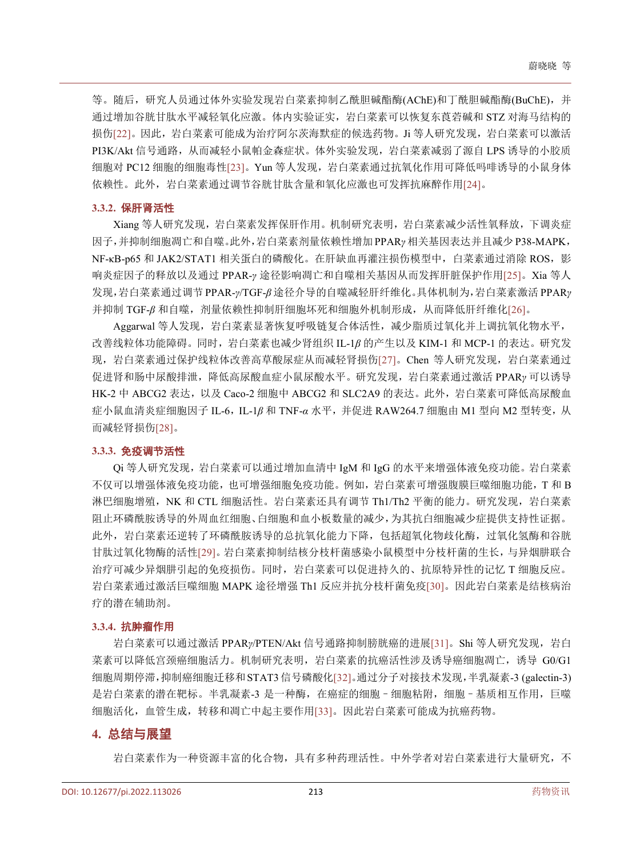等。随后,研究人员通过体外实验发现岩白菜素抑制乙酰胆碱酯酶(AChE)和丁酰胆碱酯酶(BuChE),并 通过增加谷胱甘肽水平减轻氧化应激。体内实验证实,岩白菜素可以恢复东莨菪碱和 STZ 对海马结构的 损伤[\[22\]](#page-5-2)。因此, 岩白菜素可能成为治疗阿尔茨海默症的候选药物。Ji 等人研究发现, 岩白菜素可以激活 PI3K/Akt 信号通路,从而减轻小鼠帕金森症状。体外实验发现,岩白菜素减弱了源自 LPS 诱导的小胶质 细胞对 PC12 细胞的细胞毒性[\[23\]](#page-5-3)。Yun 等人发现,岩白菜素通过抗氧化作用可降低吗啡诱导的小鼠身体 依赖性。此外,岩白菜素通过调节谷胱甘肽含量和氧化应激也可发挥抗麻醉作用[\[24\]](#page-5-4)。

#### **3.3.2.** 保肝肾活性

Xiang 等人研究发现,岩白菜素发挥保肝作用。机制研究表明,岩白菜素减少活性氧释放,下调炎症 因子,并抑制细胞凋亡和自噬。此外,岩白菜素剂量依赖性增加 PPAR*γ* 相关基因表达并且减少 P38-MAPK, NF-kB-p65 和 JAK2/STAT1 相关蛋白的磷酸化。在肝缺血再灌注损伤模型中, 白菜素通过消除 ROS, 影 响炎症因子的释放以及通过 PPAR-*γ* 途径影响凋亡和自噬相关基因从而发挥肝脏保护作用[\[25\]](#page-5-5)。Xia 等人 发现,岩白菜素通过调节 PPAR-*γ*/TGF-*β* 途径介导的自噬减轻肝纤维化。具体机制为,岩白菜素激活 PPAR*γ* 并抑制 TGF-β 和自噬, 剂量依赖性抑制肝细胞坏死和细胞外机制形成, 从而降低肝纤维化[\[26\]](#page-5-6)。

Aggarwal 等人发现,岩白菜素显著恢复呼吸链复合体活性,减少脂质过氧化并上调抗氧化物水平, 改善线粒体功能障碍。同时,岩白菜素也减少肾组织 IL-1*β* 的产生以及 KIM-1 和 MCP-1 的表达。研究发 现,岩白菜素通过保护线粒体改善高草酸尿症从而减轻肾损伤[\[27\]](#page-5-7)。Chen 等人研究发现,岩白菜素通过 促进肾和肠中尿酸排泄,降低高尿酸血症小鼠尿酸水平。研究发现,岩白菜素通过激活 PPAR*γ* 可以诱导 HK-2 中 ABCG2 表达, 以及 Caco-2 细胞中 ABCG2 和 SLC2A9 的表达。此外, 岩白菜素可降低高尿酸血 症小鼠血清炎症细胞因子 IL-6, IL-1β 和 TNF-α 水平, 并促进 RAW264.7 细胞由 M1 型向 M2 型转变, 从 而减轻肾损伤[\[28\]](#page-5-8)。

#### **3.3.3.** 免疫调节活性

Qi 等人研究发现,岩白菜素可以通过增加血清中 IgM 和 IgG 的水平来增强体液免疫功能。岩白菜素 不仅可以增强体液免疫功能,也可增强细胞免疫功能。例如,岩白菜素可增强腹膜巨噬细胞功能,T 和 B 淋巴细胞增殖,NK 和 CTL 细胞活性。岩白菜素还具有调节 Th1/Th2 平衡的能力。研究发现,岩白菜素 阻止环磷酰胺诱导的外周血红细胞、白细胞和血小板数量的减少,为其抗白细胞减少症提供支持性证据。 此外,岩白菜素还逆转了环磷酰胺诱导的总抗氧化能力下降,包括超氧化物歧化酶,过氧化氢酶和谷胱 甘肽过氧化物酶的活性[\[29\]](#page-5-9)。岩白菜素抑制结核分枝杆菌感染小鼠模型中分枝杆菌的生长,与异烟肼联合 治疗可减少异烟肼引起的免疫损伤。同时,岩白菜素可以促进持久的、抗原特异性的记忆 T 细胞反应。 岩白菜素通过激活巨噬细胞 MAPK 途径增强 Th1 反应并抗分枝杆菌免疫[\[30\]](#page-5-10)。因此岩白菜素是结核病治 疗的潜在辅助剂。

#### **3.3.4.** 抗肿瘤作用

岩白菜素可以通过激活 PPARy/PTEN/Akt 信号通路抑制膀胱癌的进展[\[31\]](#page-5-11)。Shi 等人研究发现, 岩白 菜素可以降低宫颈癌细胞活力。机制研究表明,岩白菜素的抗癌活性涉及诱导癌细胞凋亡,诱导 G0/G1 细胞周期停滞,抑制癌细胞迁移和STAT3信号磷酸化[\[32\]](#page-5-12)。通过分子对接技术发现,半乳凝素-3 (galectin-3) 是岩白菜素的潜在靶标。半乳凝素-3 是一种酶,在癌症的细胞–细胞粘附,细胞–基质相互作用,巨噬 细胞活化,血管生成,转移和凋亡中起主要作用[\[33\]](#page-5-13)。因此岩白菜素可能成为抗癌药物。

#### **4.** 总结与展望

岩白菜素作为一种资源丰富的化合物,具有多种药理活性。中外学者对岩白菜素进行大量研究,不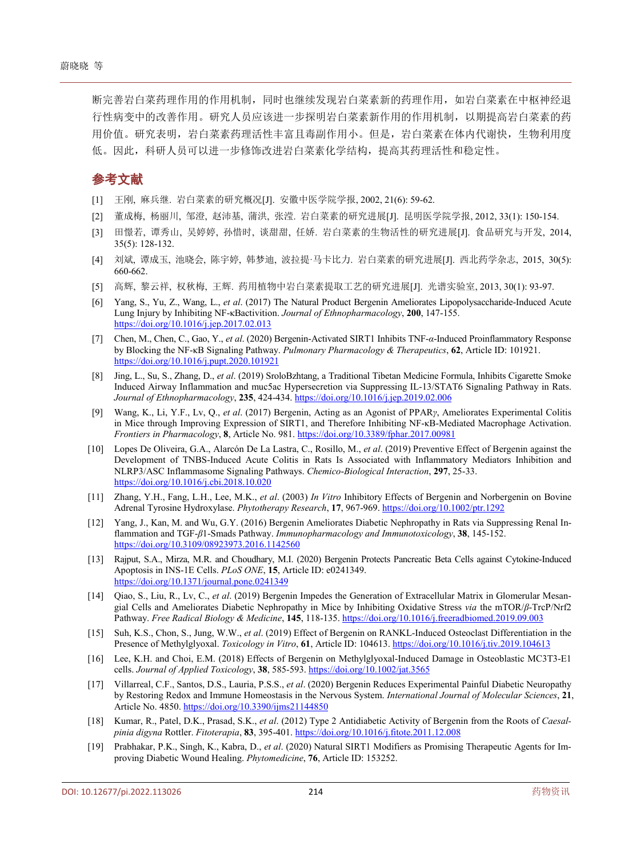断完善岩白菜药理作用的作用机制,同时也继续发现岩白菜素新的药理作用,如岩白菜素在中枢神经退 行性病变中的改善作用。研究人员应该进一步探明岩白菜素新作用的作用机制,以期提高岩白菜素的药 用价值。研究表明,岩白菜素药理活性丰富且毒副作用小。但是,岩白菜素在体内代谢快,生物利用度 低。因此,科研人员可以进一步修饰改进岩白菜素化学结构,提高其药理活性和稳定性。

## 参考文献

- <span id="page-4-0"></span>[1] 王刚, 麻兵继. 岩白菜素的研究概况[J]. 安徽中医学院学报, 2002, 21(6): 59-62.
- <span id="page-4-1"></span>[2] 董成梅, 杨丽川, 邹澄, 赵沛基, 蒲洪, 张滢. 岩白菜素的研究进展[J]. 昆明医学院学报, 2012, 33(1): 150-154.
- <span id="page-4-2"></span>[3] 田憬若, 谭秀山, 吴婷婷, 孙惜时, 谈甜甜, 任娇. 岩白菜素的生物活性的研究进展[J]. 食品研究与开发, 2014, 35(5): 128-132.
- <span id="page-4-3"></span>[4] 刘斌, 谭成玉, 池晓会, 陈宇婷, 韩梦迪, 波拉提·马卡比力. 岩白菜素的研究进展[J]. 西北药学杂志, 2015, 30(5): 660-662.
- <span id="page-4-4"></span>[5] 高辉, 黎云祥, 权秋梅, 王辉. 药用植物中岩白菜素提取工艺的研究进展[J]. 光谱实验室, 2013, 30(1): 93-97.
- <span id="page-4-5"></span>[6] Yang, S., Yu, Z., Wang, L., *et al*. (2017) The Natural Product Bergenin Ameliorates Lipopolysaccharide-Induced Acute Lung Injury by Inhibiting NF-κBactivition. *Journal of Ethnopharmacology*, **200**, 147-155. <https://doi.org/10.1016/j.jep.2017.02.013>
- <span id="page-4-6"></span>[7] Chen, M., Chen, C., Gao, Y., *et al*. (2020) Bergenin-Activated SIRT1 Inhibits TNF-*α*-Induced Proinflammatory Response by Blocking the NF-κB Signaling Pathway. *Pulmonary Pharmacology & Therapeutics*, **62**, Article ID: 101921. <https://doi.org/10.1016/j.pupt.2020.101921>
- <span id="page-4-7"></span>[8] Jing, L., Su, S., Zhang, D., *et al*. (2019) SroloBzhtang, a Traditional Tibetan Medicine Formula, Inhibits Cigarette Smoke Induced Airway Inflammation and muc5ac Hypersecretion via Suppressing IL-13/STAT6 Signaling Pathway in Rats. *Journal of Ethnopharmacology*, **235**, 424-434. <https://doi.org/10.1016/j.jep.2019.02.006>
- <span id="page-4-8"></span>[9] Wang, K., Li, Y.F., Lv, Q., *et al*. (2017) Bergenin, Acting as an Agonist of PPAR*γ*, Ameliorates Experimental Colitis in Mice through Improving Expression of SIRT1, and Therefore Inhibiting NF-κB-Mediated Macrophage Activation. *Frontiers in Pharmacology*, **8**, Article No. 981. <https://doi.org/10.3389/fphar.2017.00981>
- <span id="page-4-9"></span>[10] Lopes De Oliveira, G.A., Alarcón De La Lastra, C., Rosillo, M., *et al*. (2019) Preventive Effect of Bergenin against the Development of TNBS-Induced Acute Colitis in Rats Is Associated with Inflammatory Mediators Inhibition and NLRP3/ASC Inflammasome Signaling Pathways. *Chemico*-*Biological Interaction*, **297**, 25-33. <https://doi.org/10.1016/j.cbi.2018.10.020>
- <span id="page-4-10"></span>[11] Zhang, Y.H., Fang, L.H., Lee, M.K., *et al*. (2003) *In Vitro* Inhibitory Effects of Bergenin and Norbergenin on Bovine Adrenal Tyrosine Hydroxylase. *Phytotherapy Research*, **17**, 967-969. <https://doi.org/10.1002/ptr.1292>
- <span id="page-4-11"></span>[12] Yang, J., Kan, M. and Wu, G.Y. (2016) Bergenin Ameliorates Diabetic Nephropathy in Rats via Suppressing Renal Inflammation and TGF-*β*1-Smads Pathway. *Immunopharmacology and Immunotoxicology*, **38**, 145-152. <https://doi.org/10.3109/08923973.2016.1142560>
- <span id="page-4-12"></span>[13] Rajput, S.A., Mirza, M.R. and Choudhary, M.I. (2020) Bergenin Protects Pancreatic Beta Cells against Cytokine-Induced Apoptosis in INS-1E Cells. *PLoS ONE*, **15**, Article ID: e0241349. <https://doi.org/10.1371/journal.pone.0241349>
- <span id="page-4-13"></span>[14] Qiao, S., Liu, R., Lv, C., *et al*. (2019) Bergenin Impedes the Generation of Extracellular Matrix in Glomerular Mesangial Cells and Ameliorates Diabetic Nephropathy in Mice by Inhibiting Oxidative Stress *via* the mTOR/*β*-TrcP/Nrf2 Pathway. *Free Radical Biology & Medicine*, **145**, 118-135. <https://doi.org/10.1016/j.freeradbiomed.2019.09.003>
- <span id="page-4-14"></span>[15] Suh, K.S., Chon, S., Jung, W.W., *et al*. (2019) Effect of Bergenin on RANKL-Induced Osteoclast Differentiation in the Presence of Methylglyoxal. *Toxicology in Vitro*, **61**, Article ID: 104613. <https://doi.org/10.1016/j.tiv.2019.104613>
- <span id="page-4-15"></span>[16] Lee, K.H. and Choi, E.M. (2018) Effects of Bergenin on Methylglyoxal-Induced Damage in Osteoblastic MC3T3-E1 cells. *Journal of Applied Toxicology*, **38**, 585-593. <https://doi.org/10.1002/jat.3565>
- <span id="page-4-16"></span>[17] Villarreal, C.F., Santos, D.S., Lauria, P.S.S., *et al*. (2020) Bergenin Reduces Experimental Painful Diabetic Neuropathy by Restoring Redox and Immune Homeostasis in the Nervous System. *International Journal of Molecular Sciences*, **21**, Article No. 4850. <https://doi.org/10.3390/ijms21144850>
- <span id="page-4-17"></span>[18] Kumar, R., Patel, D.K., Prasad, S.K., *et al*. (2012) Type 2 Antidiabetic Activity of Bergenin from the Roots of *Caesalpinia digyna* Rottler. *Fitoterapia*, **83**, 395-401. <https://doi.org/10.1016/j.fitote.2011.12.008>
- <span id="page-4-18"></span>[19] Prabhakar, P.K., Singh, K., Kabra, D., *et al*. (2020) Natural SIRT1 Modifiers as Promising Therapeutic Agents for Improving Diabetic Wound Healing. *Phytomedicine*, **76**, Article ID: 153252.